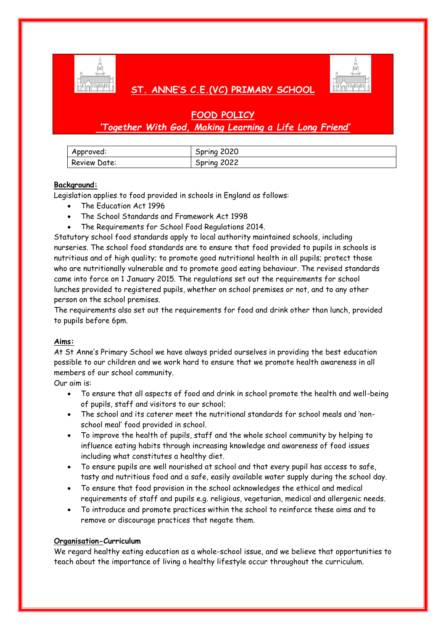

# **ST. ANNE'S C.E.(VC) PRIMARY SCHOOL**

# **FOOD POLICY** *'Together With God, Making Learning a Life Long Friend'*

| Approved:    | 2020<br>Spring |
|--------------|----------------|
| Review Date: | 2022<br>Spring |

# **Background:**

Legislation applies to food provided in schools in England as follows:

- The Education Act 1996
- The School Standards and Framework Act 1998
- The Requirements for School Food Regulations 2014.

Statutory school food standards apply to local authority maintained schools, including nurseries. The school food standards are to ensure that food provided to pupils in schools is nutritious and of high quality; to promote good nutritional health in all pupils; protect those who are nutritionally vulnerable and to promote good eating behaviour. The revised standards came into force on 1 January 2015. The regulations set out the requirements for school lunches provided to registered pupils, whether on school premises or not, and to any other person on the school premises.

The requirements also set out the requirements for food and drink other than lunch, provided to pupils before 6pm.

# **Aims:**

At St Anne's Primary School we have always prided ourselves in providing the best education possible to our children and we work hard to ensure that we promote health awareness in all members of our school community.

Our aim is:

- To ensure that all aspects of food and drink in school promote the health and well-being of pupils, staff and visitors to our school;
- The school and its caterer meet the nutritional standards for school meals and 'nonschool meal' food provided in school.
- To improve the health of pupils, staff and the whole school community by helping to influence eating habits through increasing knowledge and awareness of food issues including what constitutes a healthy diet.
- To ensure pupils are well nourished at school and that every pupil has access to safe, tasty and nutritious food and a safe, easily available water supply during the school day.
- To ensure that food provision in the school acknowledges the ethical and medical requirements of staff and pupils e.g. religious, vegetarian, medical and allergenic needs.
- To introduce and promote practices within the school to reinforce these aims and to remove or discourage practices that negate them.

# **Organisation-Curriculum**

We regard healthy eating education as a whole-school issue, and we believe that opportunities to teach about the importance of living a healthy lifestyle occur throughout the curriculum.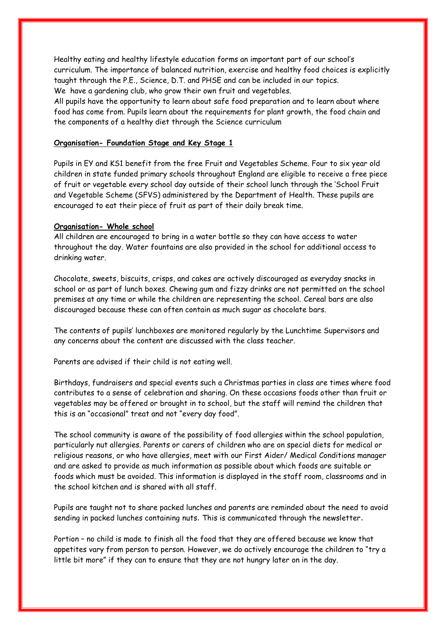Healthy eating and healthy lifestyle education forms an important part of our school's curriculum. The importance of balanced nutrition, exercise and healthy food choices is explicitly taught through the P.E., Science, D.T. and PHSE and can be included in our topics. We have a gardening club, who grow their own fruit and vegetables.

All pupils have the opportunity to learn about safe food preparation and to learn about where food has come from. Pupils learn about the requirements for plant growth, the food chain and the components of a healthy diet through the Science curriculum

#### **Organisation- Foundation Stage and Key Stage 1**

Pupils in EY and KS1 benefit from the free Fruit and Vegetables Scheme. Four to six year old children in state funded primary schools throughout England are eligible to receive a free piece of fruit or vegetable every school day outside of their school lunch through the 'School Fruit and Vegetable Scheme (SFVS) administered by the Department of Health. These pupils are encouraged to eat their piece of fruit as part of their daily break time.

#### **Organisation- Whole school**

All children are encouraged to bring in a water bottle so they can have access to water throughout the day. Water fountains are also provided in the school for additional access to drinking water.

Chocolate, sweets, biscuits, crisps, and cakes are actively discouraged as everyday snacks in school or as part of lunch boxes. Chewing gum and fizzy drinks are not permitted on the school premises at any time or while the children are representing the school. Cereal bars are also discouraged because these can often contain as much sugar as chocolate bars.

The contents of pupils' lunchboxes are monitored regularly by the Lunchtime Supervisors and any concerns about the content are discussed with the class teacher.

Parents are advised if their child is not eating well.

Birthdays, fundraisers and special events such a Christmas parties in class are times where food contributes to a sense of celebration and sharing. On these occasions foods other than fruit or vegetables may be offered or brought in to school, but the staff will remind the children that this is an "occasional" treat and not "every day food".

The school community is aware of the possibility of food allergies within the school population, particularly nut allergies. Parents or carers of children who are on special diets for medical or religious reasons, or who have allergies, meet with our First Aider/ Medical Conditions manager and are asked to provide as much information as possible about which foods are suitable or foods which must be avoided. This information is displayed in the staff room, classrooms and in the school kitchen and is shared with all staff.

Pupils are taught not to share packed lunches and parents are reminded about the need to avoid sending in packed lunches containing nuts. This is communicated through the newsletter.

Portion – no child is made to finish all the food that they are offered because we know that appetites vary from person to person. However, we do actively encourage the children to "try a little bit more" if they can to ensure that they are not hungry later on in the day.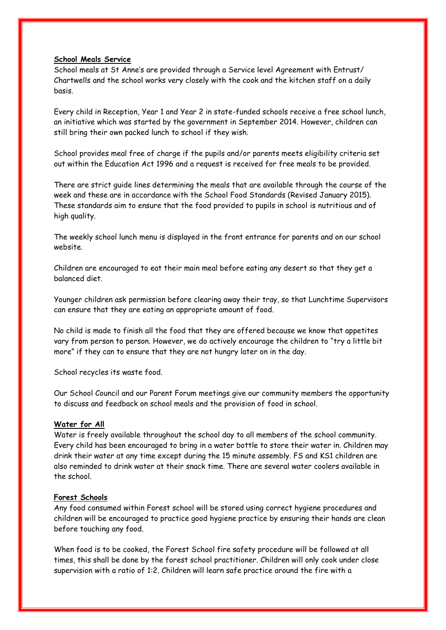#### **School Meals Service**

School meals at St Anne's are provided through a Service level Agreement with Entrust/ Chartwells and the school works very closely with the cook and the kitchen staff on a daily basis.

Every child in Reception, Year 1 and Year 2 in state-funded schools receive a free school lunch, an initiative which was started by the government in September 2014. However, children can still bring their own packed lunch to school if they wish.

School provides meal free of charge if the pupils and/or parents meets eligibility criteria set out within the Education Act 1996 and a request is received for free meals to be provided.

There are strict guide lines determining the meals that are available through the course of the week and these are in accordance with the School Food Standards (Revised January 2015). These standards aim to ensure that the food provided to pupils in school is nutritious and of high quality.

The weekly school lunch menu is displayed in the front entrance for parents and on our school website.

Children are encouraged to eat their main meal before eating any desert so that they get a balanced diet.

Younger children ask permission before clearing away their tray, so that Lunchtime Supervisors can ensure that they are eating an appropriate amount of food.

No child is made to finish all the food that they are offered because we know that appetites vary from person to person. However, we do actively encourage the children to "try a little bit more" if they can to ensure that they are not hungry later on in the day.

School recycles its waste food.

Our School Council and our Parent Forum meetings give our community members the opportunity to discuss and feedback on school meals and the provision of food in school.

### **Water for All**

Water is freely available throughout the school day to all members of the school community. Every child has been encouraged to bring in a water bottle to store their water in. Children may drink their water at any time except during the 15 minute assembly. FS and KS1 children are also reminded to drink water at their snack time. There are several water coolers available in the school.

### **Forest Schools**

Any food consumed within Forest school will be stored using correct hygiene procedures and children will be encouraged to practice good hygiene practice by ensuring their hands are clean before touching any food.

When food is to be cooked, the Forest School fire safety procedure will be followed at all times, this shall be done by the forest school practitioner. Children will only cook under close supervision with a ratio of 1:2. Children will learn safe practice around the fire with a